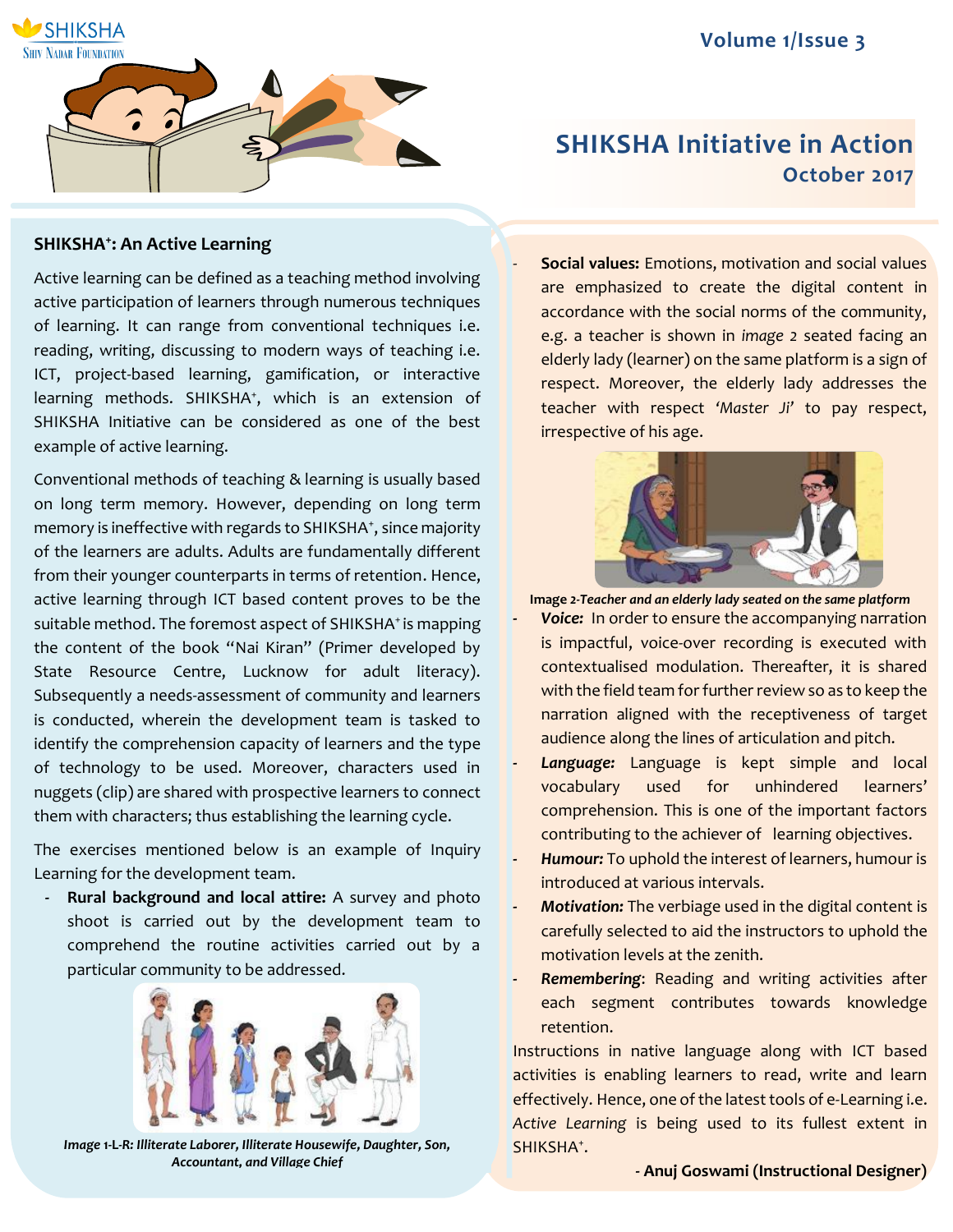

# **SHIKSHA Initiative in Action October 2017**

## **SHIKSHA<sup>+</sup> : An Active Learning**

Active learning can be defined as a teaching method involving active participation of learners through numerous techniques of learning. It can range from conventional techniques i.e. reading, writing, discussing to modern ways of teaching i.e. ICT, project-based learning, gamification, or interactive learning methods. SHIKSHA<sup>+</sup> , which is an extension of SHIKSHA Initiative can be considered as one of the best example of active learning.

Conventional methods of teaching & learning is usually based on long term memory. However, depending on long term memory is ineffective with regards to SHIKSHA<sup>+</sup>, since majority of the learners are adults. Adults are fundamentally different from their younger counterparts in terms of retention. Hence, active learning through ICT based content proves to be the suitable method. The foremost aspect of SHIKSHA<sup>+</sup> is mapping the content of the book "Nai Kiran" (Primer developed by State Resource Centre, Lucknow for adult literacy). Subsequently a needs-assessment of community and learners is conducted, wherein the development team is tasked to identify the comprehension capacity of learners and the type of technology to be used. Moreover, characters used in nuggets (clip) are shared with prospective learners to connect them with characters; thus establishing the learning cycle.

The exercises mentioned below is an example of Inquiry Learning for the development team.

**- Rural background and local attire:** A survey and photo shoot is carried out by the development team to comprehend the routine activities carried out by a particular community to be addressed.



*Image* **1-L***-R: Illiterate Laborer, Illiterate Housewife, Daughter, Son, Accountant, and Village Chief*

- **Social values:** Emotions, motivation and social values are emphasized to create the digital content in accordance with the social norms of the community, e.g. a teacher is shown in *image 2* seated facing an elderly lady (learner) on the same platform is a sign of respect. Moreover, the elderly lady addresses the teacher with respect *'Master Ji'* to pay respect, irrespective of his age.



**Image** *2-Teacher and an elderly lady seated on the same platform*

- **-** *Voice:* In order to ensure the accompanying narration is impactful, voice-over recording is executed with contextualised modulation. Thereafter, it is shared with the field team for further review so as to keep the narration aligned with the receptiveness of target audience along the lines of articulation and pitch.
- **Language:** Language is kept simple and local vocabulary used for unhindered learners' comprehension. This is one of the important factors contributing to the achiever of learning objectives.
- **-** *Humour:* To uphold the interest of learners, humour is introduced at various intervals.
- **-** *Motivation:* The verbiage used in the digital content is carefully selected to aid the instructors to uphold the motivation levels at the zenith.
- **-** *Remembering*: Reading and writing activities after each segment contributes towards knowledge retention.

Instructions in native language along with ICT based activities is enabling learners to read, write and learn effectively. Hence, one of the latest tools of e-Learning i.e. *Active Learning* is being used to its fullest extent in SHIKSHA<sup>+</sup>.

**- Anuj Goswami (Instructional Designer)**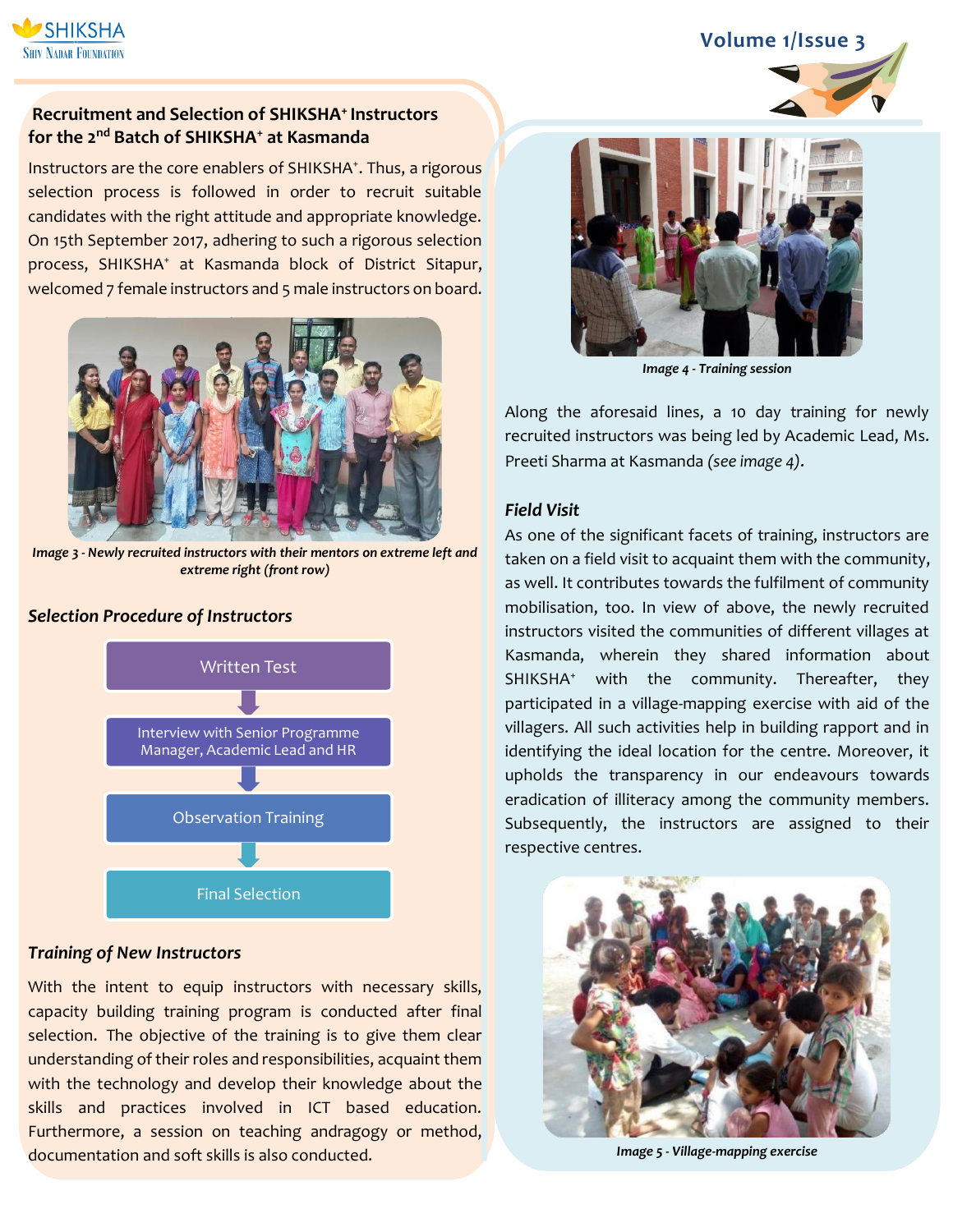

# **Recruitment and Selection of SHIKSHA<sup>+</sup>Instructors for the 2nd Batch of SHIKSHA<sup>+</sup> at Kasmanda**

Instructors are the core enablers of SHIKSHA<sup>+</sup>. Thus, a rigorous selection process is followed in order to recruit suitable candidates with the right attitude and appropriate knowledge. On 15th September 2017, adhering to such a rigorous selection process, SHIKSHA<sup>+</sup> at Kasmanda block of District Sitapur, welcomed 7 female instructors and 5 male instructors on board.



*Image 3 - Newly recruited instructors with their mentors on extreme left and extreme right (front row)*

#### *Selection Procedure of Instructors*



#### *Training of New Instructors*

With the intent to equip instructors with necessary skills, capacity building training program is conducted after final selection. The objective of the training is to give them clear understanding of their roles and responsibilities, acquaint them with the technology and develop their knowledge about the skills and practices involved in ICT based education. Furthermore, a session on teaching andragogy or method, documentation and soft skills is also conducted.



*Image 4 - Training session*

Along the aforesaid lines, a 10 day training for newly recruited instructors was being led by Academic Lead, Ms. Preeti Sharma at Kasmanda *(see image 4).*

#### *Field Visit*

As one of the significant facets of training, instructors are taken on a field visit to acquaint them with the community, as well. It contributes towards the fulfilment of community mobilisation, too. In view of above, the newly recruited instructors visited the communities of different villages at Kasmanda, wherein they shared information about SHIKSHA<sup>+</sup> with the community. Thereafter, they participated in a village-mapping exercise with aid of the villagers. All such activities help in building rapport and in identifying the ideal location for the centre. Moreover, it upholds the transparency in our endeavours towards eradication of illiteracy among the community members. Subsequently, the instructors are assigned to their respective centres.



*Image 5 - Village-mapping exercise*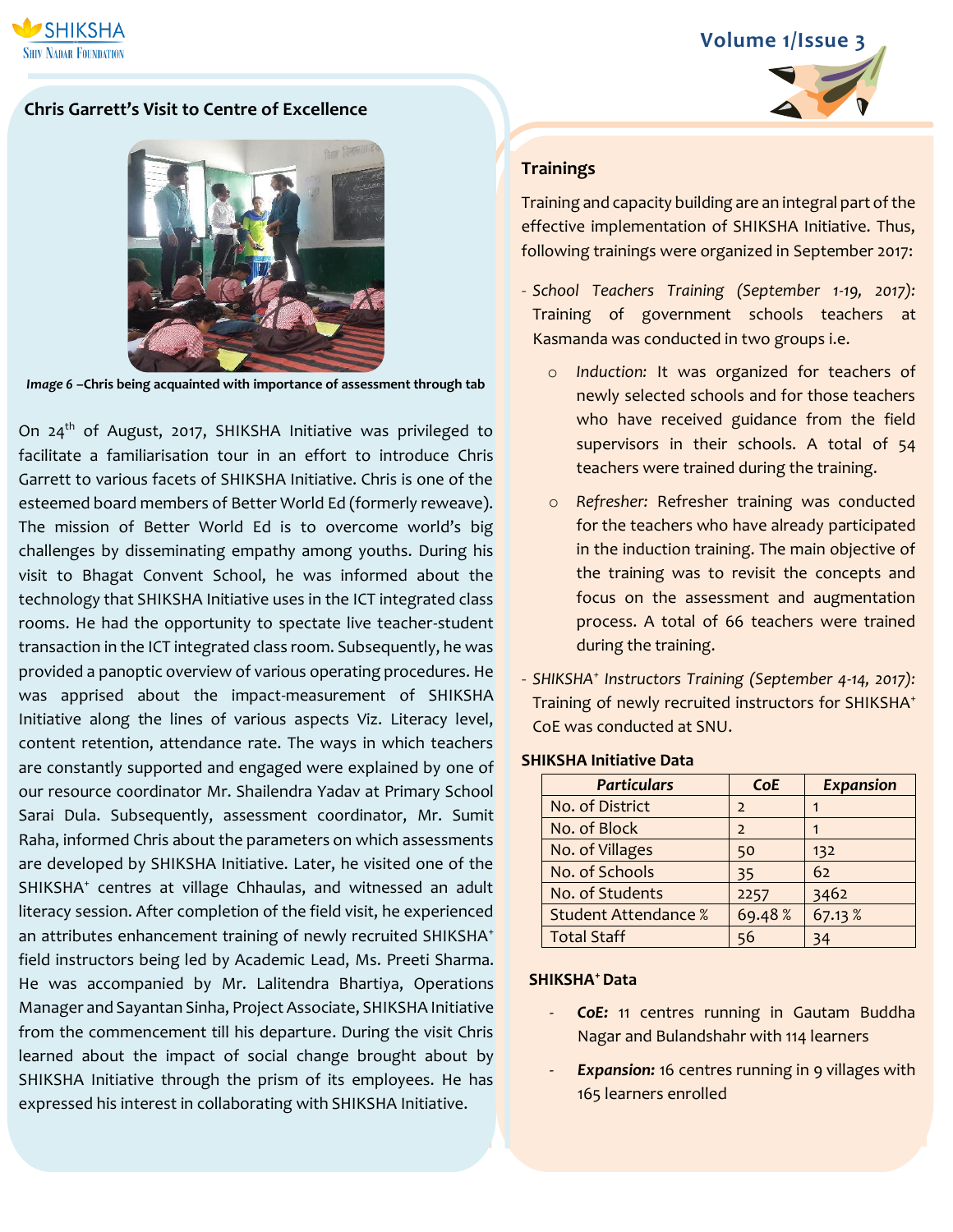

# **Chris Garrett's Visit to Centre of Excellence**



*Image 6* **–Chris being acquainted with importance of assessment through tab**

On 24<sup>th</sup> of August, 2017, SHIKSHA Initiative was privileged to facilitate a familiarisation tour in an effort to introduce Chris Garrett to various facets of SHIKSHA Initiative. Chris is one of the esteemed board members of Better World Ed (formerly reweave). The mission of Better World Ed is to overcome world's big challenges by disseminating empathy among youths. During his visit to Bhagat Convent School, he was informed about the technology that SHIKSHA Initiative uses in the ICT integrated class rooms. He had the opportunity to spectate live teacher-student transaction in the ICT integrated class room. Subsequently, he was provided a panoptic overview of various operating procedures. He was apprised about the impact-measurement of SHIKSHA Initiative along the lines of various aspects Viz. Literacy level, content retention, attendance rate. The ways in which teachers are constantly supported and engaged were explained by one of our resource coordinator Mr. Shailendra Yadav at Primary School Sarai Dula. Subsequently, assessment coordinator, Mr. Sumit Raha, informed Chris about the parameters on which assessments are developed by SHIKSHA Initiative. Later, he visited one of the SHIKSHA<sup>+</sup> centres at village Chhaulas, and witnessed an adult literacy session. After completion of the field visit, he experienced an attributes enhancement training of newly recruited SHIKSHA<sup>+</sup> field instructors being led by Academic Lead, Ms. Preeti Sharma. He was accompanied by Mr. Lalitendra Bhartiya, Operations Manager and Sayantan Sinha, Project Associate, SHIKSHA Initiative from the commencement till his departure. During the visit Chris learned about the impact of social change brought about by SHIKSHA Initiative through the prism of its employees. He has expressed his interest in collaborating with SHIKSHA Initiative.



#### **Trainings**

Training and capacity building are an integral part of the effective implementation of SHIKSHA Initiative. Thus, following trainings were organized in September 2017:

- *School Teachers Training (September 1-19, 2017):* Training of government schools teachers at Kasmanda was conducted in two groups i.e.
	- o *Induction:* It was organized for teachers of newly selected schools and for those teachers who have received guidance from the field supervisors in their schools. A total of 54 teachers were trained during the training.
	- o *Refresher:* Refresher training was conducted for the teachers who have already participated in the induction training. The main objective of the training was to revisit the concepts and focus on the assessment and augmentation process. A total of 66 teachers were trained during the training.
- *SHIKSHA<sup>+</sup> Instructors Training (September 4-14, 2017):* Training of newly recruited instructors for SHIKSHA<sup>+</sup> CoE was conducted at SNU.

#### **SHIKSHA Initiative Data**

| <b>Particulars</b>          | <b>CoE</b>     | <b>Expansion</b> |
|-----------------------------|----------------|------------------|
| No. of District             | $\overline{2}$ |                  |
| No. of Block                | $\mathcal{L}$  |                  |
| No. of Villages             | 50             | 132              |
| No. of Schools              | 35             | 62               |
| No. of Students             | 2257           | 3462             |
| <b>Student Attendance %</b> | 69.48%         | 67.13%           |
| <b>Total Staff</b>          | 56             | 34               |

#### **SHIKSHA<sup>+</sup>Data**

- *CoE:* 11 centres running in Gautam Buddha Nagar and Bulandshahr with 114 learners
- **Expansion:** 16 centres running in 9 villages with 165 learners enrolled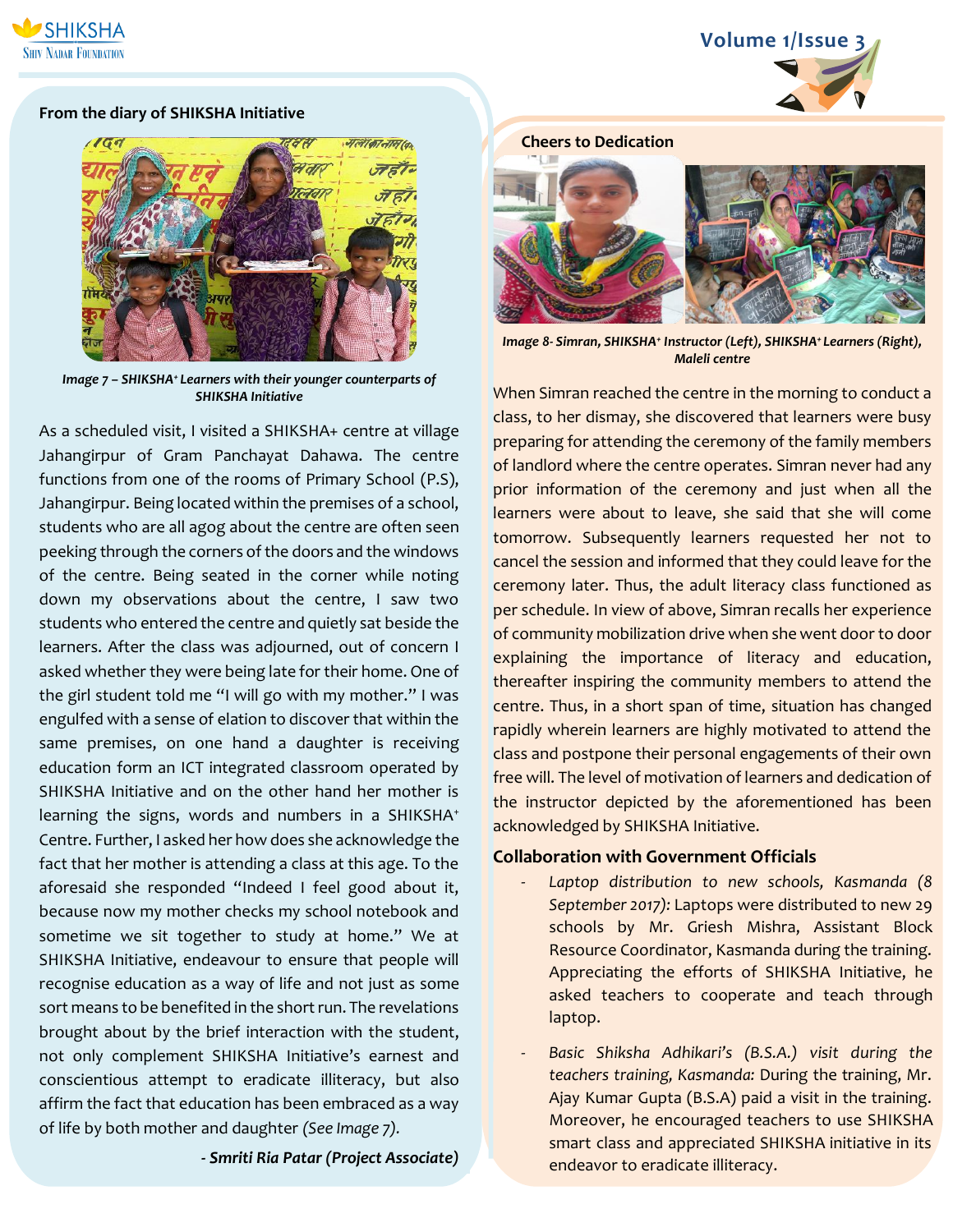

#### **From the diary of SHIKSHA Initiative**



*Image 7 – SHIKSHA<sup>+</sup>Learners with their younger counterparts of SHIKSHA Initiative*

As a scheduled visit, I visited a SHIKSHA+ centre at village Jahangirpur of Gram Panchayat Dahawa. The centre functions from one of the rooms of Primary School (P.S), Jahangirpur. Being located within the premises of a school, students who are all agog about the centre are often seen peeking through the corners of the doors and the windows of the centre. Being seated in the corner while noting down my observations about the centre, I saw two students who entered the centre and quietly sat beside the learners. After the class was adjourned, out of concern I asked whether they were being late for their home. One of the girl student told me "I will go with my mother." I was engulfed with a sense of elation to discover that within the same premises, on one hand a daughter is receiving education form an ICT integrated classroom operated by SHIKSHA Initiative and on the other hand her mother is learning the signs, words and numbers in a SHIKSHA<sup>+</sup> Centre. Further, I asked her how does she acknowledge the fact that her mother is attending a class at this age. To the aforesaid she responded "Indeed I feel good about it, because now my mother checks my school notebook and sometime we sit together to study at home." We at SHIKSHA Initiative, endeavour to ensure that people will recognise education as a way of life and not just as some sort means to be benefited in the short run. The revelations brought about by the brief interaction with the student, not only complement SHIKSHA Initiative's earnest and conscientious attempt to eradicate illiteracy, but also affirm the fact that education has been embraced as a way of life by both mother and daughter *(See Image 7).*

**-** *Smriti Ria Patar (Project Associate)*

# **Cheers to Dedication**

*Image 8- Simran, SHIKSHA<sup>+</sup> Instructor (Left), SHIKSHA<sup>+</sup>Learners (Right), Maleli centre*

When Simran reached the centre in the morning to conduct a class, to her dismay, she discovered that learners were busy preparing for attending the ceremony of the family members of landlord where the centre operates. Simran never had any prior information of the ceremony and just when all the learners were about to leave, she said that she will come tomorrow. Subsequently learners requested her not to cancel the session and informed that they could leave for the ceremony later. Thus, the adult literacy class functioned as per schedule. In view of above, Simran recalls her experience of community mobilization drive when she went door to door explaining the importance of literacy and education, thereafter inspiring the community members to attend the centre. Thus, in a short span of time, situation has changed rapidly wherein learners are highly motivated to attend the class and postpone their personal engagements of their own free will. The level of motivation of learners and dedication of the instructor depicted by the aforementioned has been acknowledged by SHIKSHA Initiative.

## **Collaboration with Government Officials**

- Laptop distribution to new schools, Kasmanda (8 *September 2017):* Laptops were distributed to new 29 schools by Mr. Griesh Mishra, Assistant Block Resource Coordinator, Kasmanda during the training. Appreciating the efforts of SHIKSHA Initiative, he asked teachers to cooperate and teach through laptop.
- Basic Shiksha Adhikari's (B.S.A.) visit during the *teachers training, Kasmanda:* During the training, Mr. Ajay Kumar Gupta (B.S.A) paid a visit in the training. Moreover, he encouraged teachers to use SHIKSHA smart class and appreciated SHIKSHA initiative in its endeavor to eradicate illiteracy.